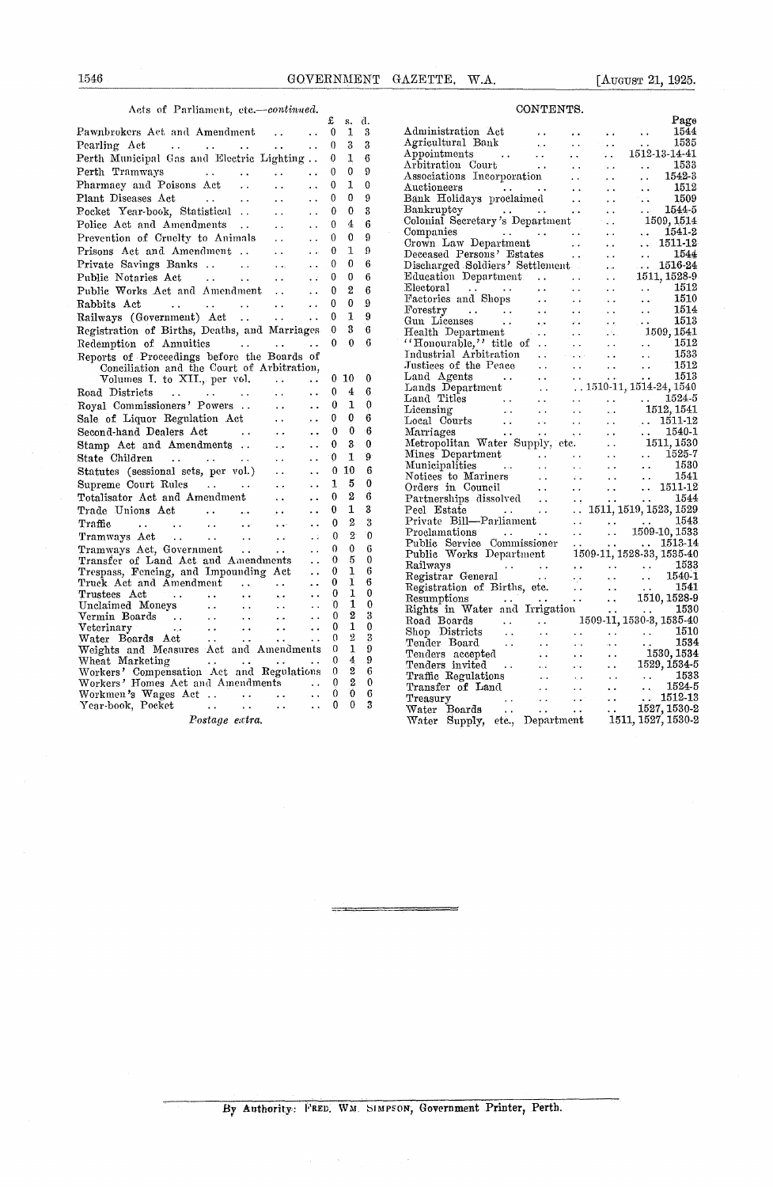## Acts of Parliament, *etc.—continued.* CONTENTS.

| 1546<br>GOVERNMENT                                                                                                                                           |                          |                                  |                  | GAZETTE, W.A.<br>[August 21, 1925.]                                                                                                                                                                                                                                                                                                                                                                                                                                                                                                       |  |  |  |  |
|--------------------------------------------------------------------------------------------------------------------------------------------------------------|--------------------------|----------------------------------|------------------|-------------------------------------------------------------------------------------------------------------------------------------------------------------------------------------------------------------------------------------------------------------------------------------------------------------------------------------------------------------------------------------------------------------------------------------------------------------------------------------------------------------------------------------------|--|--|--|--|
| Acts of Parliament, etc.-continued.                                                                                                                          |                          |                                  |                  | CONTENTS.                                                                                                                                                                                                                                                                                                                                                                                                                                                                                                                                 |  |  |  |  |
| Pawnbrokers Act and Amendment<br>$\ddot{\phantom{0}}$                                                                                                        | £<br>$\bf{0}$            | s. d.<br>1                       | 3                | Page<br>Administration Act<br>1544<br>$\ddot{\phantom{0}}$<br>$\ddot{\phantom{0}}$<br>$\ddot{\phantom{0}}$                                                                                                                                                                                                                                                                                                                                                                                                                                |  |  |  |  |
| and the contract of the contract of<br>Pearling Act<br>$\sim$ .                                                                                              | $\theta$                 | 3                                | 3                | Agricultural Bank<br>1535<br>$\mathbf{r}_i$ .<br>$\sim$ $\sim$<br>$\sim 100$ km s $^{-1}$<br>$\ddotsc$                                                                                                                                                                                                                                                                                                                                                                                                                                    |  |  |  |  |
| Perth Municipal Gas and Electric Lighting                                                                                                                    | $\mathbf{0}$             | 1                                | 6                | 1512-13-14-41<br>Appointments<br>$\sim 100$<br>$\sim$<br>$\sim 10^{-1}$<br>s.                                                                                                                                                                                                                                                                                                                                                                                                                                                             |  |  |  |  |
| Perth Tramways<br>$\mathbf{r}$ , $\mathbf{r}$ , $\mathbf{r}$ , $\mathbf{r}$<br><b>Contractor</b> Service<br>$\sim$ $\sim$<br>$\ddotsc$                       | $\theta$                 | $\mathbf{0}$                     | 9                | Arbitration Court<br>1533<br>$\sim 100$ km s $^{-1}$<br>$\sim 10^7$<br>$\ddotsc$<br>$\ddot{\phantom{1}}$ .<br>1542-3                                                                                                                                                                                                                                                                                                                                                                                                                      |  |  |  |  |
| Pharmacy and Poisons Act<br>$\mathcal{L}^{\mathcal{L}}(\mathbf{r})$<br>$\ddotsc$<br>$\ddotsc$                                                                | $\mathbf{0}$             | 1                                | 0                | Associations Incorporation<br>$\ddot{\phantom{a}}$<br>$\ddotsc$<br>Auctioneers<br>1512<br>$\mathcal{L}(\mathbf{z},\mathbf{z})$ . The contract of<br>$\sim 100$<br>$\sim$ $\sim$<br>$\sim$ $\sim$                                                                                                                                                                                                                                                                                                                                          |  |  |  |  |
| Plant Diseases Act<br>$\sim 100$ km s $^{-1}$<br>$\ddotsc$<br>$\ddot{\phantom{a}}$<br>$\ddot{\phantom{a}}$                                                   | $\theta$                 | 0                                | 9                | Bank Holidays proclaimed<br>1509<br>$\sim 100$<br>$\sim 1$<br>$\sim$ $\sim$                                                                                                                                                                                                                                                                                                                                                                                                                                                               |  |  |  |  |
| Pocket Year-book, Statistical<br>$\ddot{\phantom{a}}$<br>$\ddot{\phantom{0}}$                                                                                | 0                        | 0                                | 3                | Bankruptcy<br>1544-5<br>$\mathcal{L}^{\mathcal{L}}(\mathcal{L}^{\mathcal{L}}(\mathcal{L}^{\mathcal{L}}(\mathcal{L}^{\mathcal{L}}(\mathcal{L}^{\mathcal{L}}(\mathcal{L}^{\mathcal{L}}(\mathcal{L}^{\mathcal{L}}(\mathcal{L}^{\mathcal{L}}(\mathcal{L}^{\mathcal{L}}(\mathcal{L}^{\mathcal{L}}(\mathcal{L}^{\mathcal{L}}(\mathcal{L}^{\mathcal{L}}(\mathcal{L}^{\mathcal{L}}(\mathcal{L}^{\mathcal{L}}(\mathcal{L}^{\mathcal{L}}(\mathcal{L}^{\mathcal{L}}(\mathcal{L}^{\mathcal{L$<br>$\sim$ $\sim$<br>$\sim 10^7$<br>$\ddot{\phantom{a}}$ |  |  |  |  |
| Police Act and Amendments<br>$\sim$ $\sim$<br>$\ddotsc$                                                                                                      | $\theta$                 | $\overline{4}$                   | 6                | Colonial Secretary's Department<br>1509, 1514<br><b>College</b>                                                                                                                                                                                                                                                                                                                                                                                                                                                                           |  |  |  |  |
| Prevention of Cruelty to Animals<br>$\ddot{\phantom{a}}$<br>$\ddot{\phantom{0}}$                                                                             | $\mathbf{0}$             | $\boldsymbol{0}$                 | 9                | Companies<br>1541-2<br>$\ddot{\phantom{a}}$ .<br>$\mathbf{r}$ : $\mathbf{r}$<br>Crown Law Department<br>1511-12<br>$\sim$ 10 $\mu$<br>$\mathbf{r}$ , $\mathbf{r}$<br>$\sim$                                                                                                                                                                                                                                                                                                                                                               |  |  |  |  |
| Prisons Act and Amendment<br>$\sim$ $\sim$<br>$\mathbf{r}$ , $\mathbf{r}$ .                                                                                  | $\bf{0}$                 | T                                | 9                | Deceased Persons' Estates<br>1544<br>$\sim 100$ km s $^{-1}$<br>$\sim$ $\sim$<br>$\ddotsc$                                                                                                                                                                                                                                                                                                                                                                                                                                                |  |  |  |  |
| Private Savings Banks<br>$\ddotsc$                                                                                                                           | $\Omega$                 | $\bf{0}$                         | 6                | Discharged Soldiers' Settlement<br>1516-24<br>$\mathbf{r}$ , $\mathbf{r}$<br>الموقود                                                                                                                                                                                                                                                                                                                                                                                                                                                      |  |  |  |  |
| Public Notaries Act<br>and the state of the state of<br>$\sim$ $\sim$                                                                                        | $\mathbf{0}$             | 0                                | 6                | Education Department.<br>1511, 1528-9<br>$\sim$ 10 $\sim$<br>$\sim 100$ km s $^{-1}$<br>$\sim$ $\sim$                                                                                                                                                                                                                                                                                                                                                                                                                                     |  |  |  |  |
| Public Works Act and Amendment<br>$\ddot{\phantom{0}}$                                                                                                       | $\bf{0}$                 | $\overline{2}$                   | 6                | Electoral<br>1512<br>$\sim 10^{-1}$<br><b>Contract Contract</b><br>$\sim$<br>$\sim$ $\sim$<br>$\ddot{\phantom{1}}$ .<br>Factories and Shops<br>1510<br>$\ddot{\phantom{a}}$<br>$\mathbf{a}$ , $\mathbf{a}$ , $\mathbf{a}$ , $\mathbf{a}$<br>$\mathbf{a}$ , $\mathbf{a}$ , $\mathbf{a}$ , $\mathbf{a}$<br>$\ddotsc$                                                                                                                                                                                                                        |  |  |  |  |
| Rabbits Act<br>$\sim$ $\sim$ $\sim$ $\sim$<br>$\mathbf{L}$ , and $\mathbf{L}$<br>$\sim 10^{-10}$<br>$\ddot{\phantom{a}}$<br>$\ddot{\phantom{a}}$             | $\bf{0}$                 | $\bf{0}$                         | 9                | 1514<br>Forestry<br><b>Contract Contract Contract</b><br>$\sim 100$ km s $^{-1}$<br><b>Contract Contract</b><br>$\ddot{\phantom{a}}$ .<br>$\sim$ $\sim$                                                                                                                                                                                                                                                                                                                                                                                   |  |  |  |  |
| Railways (Government) Act<br>$\sim 100$ km s $^{-1}$<br>$\ddot{\phantom{a}}$                                                                                 | 0                        | 1                                | 9                | Gun Licenses<br>1513<br><b>Contract</b><br>$\mathbf{w}(\mathbf{x})$ .<br>$\sim 100$ km s $^{-1}$<br>$\sim$ .<br>$\sim$ $\sim$                                                                                                                                                                                                                                                                                                                                                                                                             |  |  |  |  |
| Registration of Births, Deaths, and Marriages                                                                                                                | $\mathbf{0}$             | 3                                | 6                | 1509, 1541<br>Health Department<br>$\mathbf{r}$ , $\mathbf{r}$ , $\mathbf{r}$<br>$\mathcal{L}^{\mathcal{A}}(\mathbf{r})$                                                                                                                                                                                                                                                                                                                                                                                                                  |  |  |  |  |
| Redemption of Annuities<br>$\sim$ $\sim$                                                                                                                     | $\overline{0}$           | $\theta$                         | 6                | $'$ Honourable," title of<br>1512<br><b>Contract</b><br>$\sim 10^{-1}$<br>$\sim$ $\sim$<br>1533<br>Industrial Arbitration<br><b>Contractor</b>                                                                                                                                                                                                                                                                                                                                                                                            |  |  |  |  |
| Reports of Proceedings before the Boards of<br>Conciliation and the Court of Arbitration,                                                                    |                          |                                  |                  | $\ddotsc$<br>$\sim$<br>Justices of the Peace<br>1512<br>$\mathbf{r}$ , $\mathbf{r}$<br>$\sim$ $\sim$<br>$\ddot{\phantom{a}}$                                                                                                                                                                                                                                                                                                                                                                                                              |  |  |  |  |
| Volumes I. to XII., per vol.<br>$\ddot{\phantom{a}}$<br>$\ddotsc$                                                                                            |                          | 0, 10                            | 0                | 1513<br>$\mathbf{r}$ , $\mathbf{r}$ , $\mathbf{r}$ , $\mathbf{r}$<br>$\sim$ $\sim$                                                                                                                                                                                                                                                                                                                                                                                                                                                        |  |  |  |  |
| Road Districts<br>and the state of the state of the state<br>$\sim$ $\sim$<br>$\ddot{\phantom{a}}$                                                           | $\mathbf{0}$             | 4                                | 6                | Land Agents<br>Lands Department<br>Canadian Contract Contract Contract Contract Contract Contract Contract Contract Contract Contract Contract Contract Contract Contract Contract Contract Contract Contract Contract Contract Cont<br>$.1510-11,1514-24,1540$                                                                                                                                                                                                                                                                           |  |  |  |  |
| Royal Commissioners' Powers<br>$\ddot{\phantom{a}}$<br>$\ddotsc$                                                                                             | $\bf{0}$                 | 1                                | $\mathbf{0}$     | Land Titles<br>1524-5<br>$\mathcal{L}(\mathbf{x})$ , and $\mathcal{L}(\mathbf{x})$<br>$\ddot{\phantom{a}}$<br>$\ddotsc$                                                                                                                                                                                                                                                                                                                                                                                                                   |  |  |  |  |
| Sale of Liquor Regulation Act<br>$\sim$ $\sim$<br>$\ddotsc$                                                                                                  | 0                        | 0                                | 6                | Licensing<br>1512, 1541<br>$\mathcal{L}(\mathbf{z})$ .<br>$\sim 10^{-1}$<br>$\ddotsc$<br>Local Courts<br>1511-12<br>$\sim 10^7$<br>$\sim 10^{-1}$<br><b>Contract</b><br>$\sim 10^{-1}$                                                                                                                                                                                                                                                                                                                                                    |  |  |  |  |
| Second-hand Dealers Act<br>$\ddot{\phantom{1}}$ .<br>$\ddotsc$                                                                                               | 0                        | 0                                | 6                | Marriages<br>1540-1<br>$\mathcal{L}^{\mathcal{L}}$ , $\mathcal{L}^{\mathcal{L}}$ , and $\mathcal{L}^{\mathcal{L}}$<br>$\sim$ $\sim$<br>$\sim 100$ km s $^{-1}$<br>$\sim 100$<br>$\sim$ $\sim$                                                                                                                                                                                                                                                                                                                                             |  |  |  |  |
| Stamp Act and Amendments<br>$\sim$ $\alpha$<br>$\ddot{\phantom{0}}$                                                                                          | $\bf{0}$                 | $\mathbf{3}$                     | $\Omega$         | Metropolitan Water Supply, etc.<br>1511, 1530<br>$\sim$ $\sim$                                                                                                                                                                                                                                                                                                                                                                                                                                                                            |  |  |  |  |
| State Children<br>$\mathcal{L}(\mathbf{r},\mathbf{r})$ and $\mathcal{L}(\mathbf{r},\mathbf{r})$ . Then<br>$\sim$ $\sim$<br>$\ddot{\phantom{a}}$              | $\bf{0}$                 | 1                                | 9                | 1525-7<br>$\sim 100$<br>$\ddot{\phantom{a}}$ .                                                                                                                                                                                                                                                                                                                                                                                                                                                                                            |  |  |  |  |
| Statutes (sessional sets, per vol.)<br>$\ddot{\phantom{0}}$<br>$\ddot{\phantom{0}}$                                                                          |                          | 010                              | 6                | Municipalities<br>$\sim$<br>1530<br>$\sim 100$ km s $^{-1}$<br>$\sim$ $\sim$<br><b>Contractor</b><br>Notices to Mariners<br>1541<br>$\sim 100$ km s $^{-1}$<br>$\mathcal{L}(\mathbf{z})$ and $\mathcal{L}(\mathbf{z})$<br>$\sim$ $\sim$<br>$\sim$ $\sim$                                                                                                                                                                                                                                                                                  |  |  |  |  |
| $\epsilon$ .<br>$\ddot{\phantom{a}}$                                                                                                                         | 1                        | 5                                | 0                | Orders in Council<br>$\ldots$ 1511-12<br>$\ddot{\phantom{a}}$ .<br>$\sim 10^{-1}$                                                                                                                                                                                                                                                                                                                                                                                                                                                         |  |  |  |  |
| Totalisator Act and Amendment<br>$\ddot{\phantom{0}}$<br>. .                                                                                                 | 0                        | $\boldsymbol{2}$                 | $\dot{6}$        | 1544<br>Partnerships dissolved<br>$\ddot{\phantom{0}}$<br>$\ddot{\phantom{a}}$ .<br>$\sim$ $\sim$<br>$\sim$                                                                                                                                                                                                                                                                                                                                                                                                                               |  |  |  |  |
| Trade Unions Act<br>$\sim$ $\sim$<br>$\bullet$ : $\bullet$                                                                                                   | 0                        | $\mathbf 1$                      | 3                | $\ldots$ 1511, 1519, 1523, 1529<br>Peel Estate<br>and the contract of the contract of                                                                                                                                                                                                                                                                                                                                                                                                                                                     |  |  |  |  |
| Traffic<br>$\mathbf{r}(\mathbf{x})$<br>$\sim 10^4$<br>$\sim$<br>$\sim$ $\sim$<br>$\ddot{\phantom{1}}$<br>$\sim$ $\sim$                                       | $\mathbf{0}$             | $\boldsymbol{2}$                 | 3                | Private Bill-Parliament<br>1543<br>$\mathcal{L}^{\mathcal{L}}(\mathcal{L}^{\mathcal{L}}(\mathcal{L}^{\mathcal{L}}(\mathcal{L}^{\mathcal{L}}(\mathcal{L}^{\mathcal{L}}(\mathcal{L}^{\mathcal{L}}(\mathcal{L}^{\mathcal{L}}(\mathcal{L}^{\mathcal{L}}(\mathcal{L}^{\mathcal{L}}(\mathcal{L}^{\mathcal{L}}(\mathcal{L}^{\mathcal{L}}(\mathcal{L}^{\mathcal{L}}(\mathcal{L}^{\mathcal{L}}(\mathcal{L}^{\mathcal{L}}(\mathcal{L}^{\mathcal{L}}(\mathcal{L}^{\mathcal{L}}(\mathcal{L}^{\mathcal{L$<br>$\sim$ $\sim$<br>$\ldots$ 1509-10, 1533   |  |  |  |  |
| Tramways Act<br>$\mathcal{L}_{\text{max}}$<br>$\sim 100$<br>$\sim 2$<br>аŭ.<br>$\ddot{\phantom{0}}$                                                          | $\bf{0}$                 | $\cdot$ 2                        | $\overline{0}$   | Proclamations<br>$\sim 10^{-1}$<br>$\sim 100$<br>Public Service Commissioner<br>$\ldots$ $\ldots$ 1513-14<br>$\mathcal{L}(\mathcal{A})$ .                                                                                                                                                                                                                                                                                                                                                                                                 |  |  |  |  |
| Tramways Act, Government<br>$\ddot{\phantom{a}}$<br>$\ddot{\phantom{0}}$<br>$\ddot{\phantom{1}}$                                                             | $\theta$                 | $\bf{0}$                         | 6                | 1509-11, 1528-33, 1535-40<br>Public Works Department                                                                                                                                                                                                                                                                                                                                                                                                                                                                                      |  |  |  |  |
| Transfer of Land Act and Amendments<br>$\ddot{\phantom{a}}$<br>Trespass, Fencing, and Impounding Act<br>$\ddot{\phantom{a}}$                                 | $\mathbf{0}$<br>$\bf{0}$ | 5<br>1                           | $\mathbf 0$<br>6 | Railways<br>1533<br>$\sim$ $\sim$<br>$\sim$ $\sim$<br>$\sim 10^{-1}$<br>$\sim 100$ km s $^{-1}$                                                                                                                                                                                                                                                                                                                                                                                                                                           |  |  |  |  |
| Truck Act and Amendment<br>a Co<br>$\sim$ $\sim$<br>$\ddot{\phantom{a}}$                                                                                     | $\bf{0}$                 | 1                                | 6                | Registrar General<br>1540-1<br>$\sim$ $\sim$<br>$\ddot{\phantom{a}}$ .<br>الحرجر                                                                                                                                                                                                                                                                                                                                                                                                                                                          |  |  |  |  |
| $\operatorname{Trustees}\ \operatorname{Act}$<br>$\sim$ $\sim$<br><b>Contract</b><br><b>Alan Adam</b><br>$\mathbf{r}$ , $\mathbf{r}$<br>$\ddot{\phantom{0}}$ | 0                        | 1                                | $\bf{0}$         | Registration of Births, etc.<br>1541<br>$\sim$ $\sim$<br>$\sim$ $\sim$<br>$\sim 10^{-1}$<br>1510, 1528-9<br>Resumptions<br>$\mathbf{r}$ , $\mathbf{r}$ , $\mathbf{r}$<br>$\mathbf{A} \in \mathbb{R}^{n \times n}$<br>$\ddotsc$                                                                                                                                                                                                                                                                                                            |  |  |  |  |
| Unclaimed Moneys<br>$\sim 100$ km s $^{-1}$<br>$\ddotsc$<br>$\ddot{\phantom{a}}$<br>$\sim 10^{11}$ km $^{-1}$                                                | O.                       | 1                                | $\bf{0}$         | $\sim$ $\sim$<br>Rights in Water and Irrigation<br>1530<br>$\sim 10^{-10}$<br>$\ddotsc$                                                                                                                                                                                                                                                                                                                                                                                                                                                   |  |  |  |  |
| Vermin Boards<br>$\sim$ $\sim$<br>$\ddot{\phantom{1}}$                                                                                                       | $\boldsymbol{0}$<br>0    | $\boldsymbol{2}$<br>$\mathbf{1}$ | 3<br>$\bf{0}$    | 1509-11, 1530-3, 1535-40<br>Road Boards<br>$\sim 100$<br>$\epsilon$ .                                                                                                                                                                                                                                                                                                                                                                                                                                                                     |  |  |  |  |
| Veterinary<br>$\sim$<br>$\ddot{\phantom{1}}$<br>Water Boards Act<br>$\sim$<br>and the state of the state of<br>$\ddot{\phantom{a}}$                          | $\theta$                 | $\overline{2}$                   | 3                | Shop Districts<br>1510<br>$\sim 100$<br>$\sim 10^{-11}$<br>$\sim$<br>$\ddot{\phantom{1}}$ .<br>$\sim$ $\sim$                                                                                                                                                                                                                                                                                                                                                                                                                              |  |  |  |  |
| Weights and Measures Act and Amendments 0                                                                                                                    |                          | $\mathbf{1}$                     | 9                | 1534<br>Tender Board<br>$\sim 10^{-11}$<br>$\sim 100$<br>$\sim$ $\sim$<br>$\sim$ $\sim$<br>$\sim$<br>1530, 1534                                                                                                                                                                                                                                                                                                                                                                                                                           |  |  |  |  |
| Wheat Marketing<br>and the second contract of the second second                                                                                              | $\mathbf{0}$             | $\bf{4}$                         | 9                | Tenders accepted<br>$\sim$ $\sim$<br>$\sim$ $\sim$<br>$\ddotsc$<br>Tenders invited<br>1529, 1534-5<br>$\mathcal{L}(\mathbf{r})$<br>$\ddot{\phantom{a}}$ .                                                                                                                                                                                                                                                                                                                                                                                 |  |  |  |  |
| Workers' Compensation Act and Regulations 0                                                                                                                  |                          | $\boldsymbol{2}$                 | 6                | 1533<br>Traffic Regulations<br>$\sim 10^{-10}$ m $^{-1}$<br>$\Delta\Delta\sim 10^{-11}$<br>$\sim$ $\sim$<br>$\sim$ $\sim$                                                                                                                                                                                                                                                                                                                                                                                                                 |  |  |  |  |
| Workers' Homes Act and Amendments<br>$\sim 10^{-11}$                                                                                                         | $\theta$<br>0            | $\boldsymbol{2}$<br>$\bf{0}$     | $\bf{0}$<br>6    | $\ldots$ 1524-5<br>Transfer of Land<br><b>Contract Contract</b><br>$\sim 10$<br>$\ddot{\phantom{1}}$ .                                                                                                                                                                                                                                                                                                                                                                                                                                    |  |  |  |  |
| Workmen's Wages Act<br>$\sim$ $\sim$<br>$\sim$ $\sim$                                                                                                        | $\mathbf{0}$             | $\sigma$                         | 3                | $\ldots$ 1512-13<br>Treasury<br>$\sim 100$ km s $^{-1}$<br>$\sim 10^{-1}$<br>$\ddot{\phantom{1}}$ .<br><b>Contractor</b>                                                                                                                                                                                                                                                                                                                                                                                                                  |  |  |  |  |
| Poetage estra                                                                                                                                                |                          |                                  |                  | 1527, 1530-2<br>$\mathbf{r}$<br>$\mathbf{z}$ , $\mathbf{z}$ , $\mathbf{z}$<br>1511 1597 1530-9<br>Wator Supply of Department                                                                                                                                                                                                                                                                                                                                                                                                              |  |  |  |  |

| $\ldots$                                                                                                                                                                     |                                      |                       |                         |                                                                                                                                                                                                                                                                  |                                                           |                                      |                                   |                    |  |  |
|------------------------------------------------------------------------------------------------------------------------------------------------------------------------------|--------------------------------------|-----------------------|-------------------------|------------------------------------------------------------------------------------------------------------------------------------------------------------------------------------------------------------------------------------------------------------------|-----------------------------------------------------------|--------------------------------------|-----------------------------------|--------------------|--|--|
|                                                                                                                                                                              | £                                    |                       | s. d.                   |                                                                                                                                                                                                                                                                  |                                                           |                                      |                                   | Page               |  |  |
| abrokers Act and Amendment   0                                                                                                                                               |                                      | $\mathbf{1}$          | - 3                     | Administration Act<br>Administration Act<br>Agricultural Bank                                                                                                                                                                                                    | $\ddot{\phantom{1}}$ .                                    | $\sim$ $\sim$                        | $\sim$                            | 1544<br>1535       |  |  |
| $\lim_{x \to 0} \text{Act}$ 0                                                                                                                                                |                                      | 3                     | 3                       | $\sim 100$ km s $^{-1}$<br>Appointments<br><b>Contractor</b>                                                                                                                                                                                                     | $\sim$ $\sim$<br>$\sim 10^{-1}$                           | $\sim 100$ km s $^{-1}$<br>$\sim 10$ | $\sim$ $\sim$                     | 1512-13-14-41      |  |  |
| h Municipal Gas and Electric Lighting                                                                                                                                        | $\bf{0}$                             | 1                     | 6                       | Arbitration Court                                                                                                                                                                                                                                                | $\sim$ $\sim$                                             | $\sim$ $\sim$                        | $\sim 10^7$                       | 1533               |  |  |
| h Tramways<br>$\ddotsc$<br>$\mathcal{L}^{\mathcal{L}}$ and $\mathcal{L}^{\mathcal{L}}$ and $\mathcal{L}^{\mathcal{L}}$ and $\mathcal{L}^{\mathcal{L}}$<br>$\sim 10$          | $\theta$                             | $\mathbf{0}$          | 9                       | Associations Incorporation                                                                                                                                                                                                                                       | $\sim$ $\sim$                                             | $\ddot{\phantom{a}}$ .               | $\ddot{\phantom{a}}$              | 1542-3             |  |  |
| macy and Poisons Act.<br>$\ddotsc$<br>$\bullet$ . $\bullet$                                                                                                                  | $\mathbf{0}$                         | $\mathbf{1}$          | $\mathbf{0}$            | Auctioneers                                                                                                                                                                                                                                                      | $\sim$ $\sim$                                             | $\sim$ $\sim$                        | $\sim$ $\sim$                     | 1512               |  |  |
| t Diseases Act<br>$\sim$ $\sim$<br>$\sim$                                                                                                                                    | $\theta$                             | $\mathbf{0}$          | 9                       |                                                                                                                                                                                                                                                                  |                                                           | $\sim$ $\sim$                        | $\sim 5$                          | 1509               |  |  |
| $\ddot{\phantom{a}}$                                                                                                                                                         | $\bf{0}$                             | $\theta$              | $\overline{\mathbf{3}}$ |                                                                                                                                                                                                                                                                  |                                                           | $\ddot{\phantom{a}}$                 | $\mathcal{L}^{\text{max}}$        | 1544-5             |  |  |
| et Year-book, Statistical<br>ee Act and Amendments<br>$\sim$ $\sim$                                                                                                          | $\theta$                             | $\overline{4}$        | 6                       | Colonial Secretary's Department                                                                                                                                                                                                                                  |                                                           | $\sim 100$                           |                                   | 1509, 1514         |  |  |
| ention of Cruelty to Animals                                                                                                                                                 | $\boldsymbol{0}$                     | $\mathbf{0}$          | 9                       | Companies<br>أوفر الموارد والموار                                                                                                                                                                                                                                |                                                           | $\sim$ $\sim$                        | $\mathbf{e}(\mathbf{e})$          | 1541-2             |  |  |
| $\ddot{\phantom{0}}$                                                                                                                                                         |                                      |                       |                         | Crown Law Department                                                                                                                                                                                                                                             |                                                           | $\bullet$ ( $\bullet$ ).             |                                   | $\ldots$ 1511-12   |  |  |
| ons Act and Amendment<br>$\mathbf{z}$ , and                                                                                                                                  | $\bf{0}$                             | $\mathbf{1}$          | $\boldsymbol{\Omega}$   | Deceased Persons' Estates                                                                                                                                                                                                                                        |                                                           | $\sim$                               | $\mathcal{L}(\mathbf{z})$ .       | 1544               |  |  |
| $\sim 10^{-1}$                                                                                                                                                               | $\mathbf{0}$                         | $\boldsymbol{0}$      | 6                       | Discharged Soldiers' Settlement                                                                                                                                                                                                                                  |                                                           | $\mathbf{A}$                         |                                   | $\ldots$ 1516-24   |  |  |
| $\mathcal{L}(\mathcal{L})$<br>ic Notaries Act<br>$\mathbf{a}$                                                                                                                | $\mathbf{0}$                         | $\theta$              | 6                       | Education Department                                                                                                                                                                                                                                             |                                                           | $\ddot{\phantom{a}}$ .               |                                   | 1511, 1528-9       |  |  |
| ie Works Aet and Amendment<br>$\sim$ $\sim$                                                                                                                                  | $\mathbf{0}$                         | $\boldsymbol{2}$      | 6                       |                                                                                                                                                                                                                                                                  | $\mathcal{L}(\mathcal{L})$ and $\mathcal{L}(\mathcal{L})$ | $\sim$ $\sim$                        | $\sim 10^{-10}$                   | 1512               |  |  |
| $\mathcal{L}(\mathbf{A},\mathbf{A})$ . The contribution of $\mathcal{L}(\mathbf{A},\mathbf{A})$<br>$_{\rm{bits\;\; Act}}$<br>$\sim 10^{-1}$                                  | $\bf{0}$                             | $\bf{0}$              | 9                       |                                                                                                                                                                                                                                                                  | $\sim 10$                                                 | $\sim$ $\sim$                        | $\sim$ $\sim$                     | 1510               |  |  |
| ways (Government) Act<br>$\ddotsc$                                                                                                                                           | $\bf{0}$                             | $\mathbf{1}$          | 9                       |                                                                                                                                                                                                                                                                  | $\mathbf{A}$ , and $\mathbf{A}$                           | $\sim 10$                            | $\sim 10$                         | 1514               |  |  |
| stration of Births, Deaths, and Marriages 0                                                                                                                                  |                                      | 3                     | 6                       | Gun Licenses<br>Health Department                                                                                                                                                                                                                                | $\mathcal{L}(\mathbf{r})$ and $\mathcal{L}(\mathbf{r})$   | $\sim 10^{-1}$                       | $\sim 10^{-10}$ m $^{-1}$         | 1513               |  |  |
| mption of Annuities 0 0                                                                                                                                                      |                                      |                       | -6                      | "Honourable," title of $\ldots$                                                                                                                                                                                                                                  | <b>Carl Corp.</b>                                         |                                      |                                   | 1509, 1541<br>1512 |  |  |
|                                                                                                                                                                              |                                      |                       |                         |                                                                                                                                                                                                                                                                  | $\sim 10^{-1}$                                            | $\sim 10^{-1}$<br>$\ddotsc$          | $\sim 10^{-10}$<br>$\sim 10^{-1}$ | 1533               |  |  |
| orts of Proceedings before the Boards of                                                                                                                                     |                                      |                       |                         |                                                                                                                                                                                                                                                                  |                                                           | $\sim 10$                            | $\sim 100$                        | 1512               |  |  |
| Conciliation and the Court of Arbitration,                                                                                                                                   |                                      | 0.10                  | $\mathbf{0}$            |                                                                                                                                                                                                                                                                  |                                                           |                                      |                                   |                    |  |  |
| Volumes I. to XII., per vol.<br>$\mathbf{A}$ and                                                                                                                             | $\theta$                             |                       | 6                       |                                                                                                                                                                                                                                                                  |                                                           |                                      |                                   |                    |  |  |
| l Districts<br>$\mathcal{L}(\mathbf{z},\mathbf{z})$ . The contribution of the contribution of<br>$\ddot{\phantom{a}}$                                                        |                                      | $\overline{4}$        |                         |                                                                                                                                                                                                                                                                  |                                                           |                                      |                                   |                    |  |  |
| al Commissioners' Powers<br>$\sim 10^{-1}$                                                                                                                                   | $\mathbf{0}$                         | $\mathbf{1}$          | $\mathbf{0}$            |                                                                                                                                                                                                                                                                  |                                                           |                                      |                                   |                    |  |  |
| $\ddot{\phantom{a}}$                                                                                                                                                         | 0                                    | $\mathbf 0$           | 6                       |                                                                                                                                                                                                                                                                  |                                                           |                                      |                                   |                    |  |  |
| of Liquor Regulation Act<br>nd-hand Dealers Act<br>$\ddotsc$                                                                                                                 | $\theta$                             | 0                     | 6                       |                                                                                                                                                                                                                                                                  |                                                           |                                      |                                   |                    |  |  |
| p Act and Amendments<br>$\ddot{\phantom{a}}$                                                                                                                                 | $\mathbf{0}$                         | $\boldsymbol{3}$      | $\mathbf{0}$            |                                                                                                                                                                                                                                                                  |                                                           |                                      |                                   |                    |  |  |
| e Children<br>$\sim$ $\sim$<br>$\ddot{\phantom{1}}$ .                                                                                                                        | $\theta$                             | 1                     | 9                       |                                                                                                                                                                                                                                                                  |                                                           |                                      |                                   |                    |  |  |
| utes (sessional sets, per vol.)<br>$\sim$ $\sim$<br>$\ddot{\phantom{a}}$                                                                                                     |                                      | 010                   | 6                       |                                                                                                                                                                                                                                                                  |                                                           |                                      |                                   |                    |  |  |
| $\mathcal{L}_{\mathcal{A}}$<br>$\epsilon$ .                                                                                                                                  | $\mathbf{1}$                         | 5                     | 0                       |                                                                                                                                                                                                                                                                  |                                                           |                                      |                                   |                    |  |  |
|                                                                                                                                                                              | $\theta$                             | $\overline{2}$        | 6                       |                                                                                                                                                                                                                                                                  |                                                           |                                      |                                   |                    |  |  |
| lisator Act and Amendment<br>$\sim$ $\sim$<br>$\ddot{\phantom{0}}$                                                                                                           |                                      | $\mathbf{1}$          | 3                       |                                                                                                                                                                                                                                                                  |                                                           |                                      |                                   |                    |  |  |
| $\begin{array}{lllllllll} \text{le} & \text{Unions} & \text{Act} & & \dots & \dots \ \text{file} & \dots & \dots & \dots & \dots \end{array}$<br>$\ddot{\phantom{0}}$<br>έx. | $\bf{0}$                             |                       |                         |                                                                                                                                                                                                                                                                  |                                                           |                                      |                                   |                    |  |  |
| $\sim 10^{-1}$<br>$\ddot{\phantom{a}}$                                                                                                                                       | $\mathbf{0}$                         | $\boldsymbol{2}$      | 3                       |                                                                                                                                                                                                                                                                  |                                                           |                                      |                                   |                    |  |  |
| nways Act<br>$\sim 1$                                                                                                                                                        | $\overline{0}$                       | $\cdot$ 2.            | -0                      | Public Service Commissioner   1513-14                                                                                                                                                                                                                            |                                                           |                                      |                                   |                    |  |  |
| nways Act, Government<br>$\mathbf{r}(\mathbf{r})$                                                                                                                            | $\Omega$                             | $\theta$              | 6                       | Public Works Department 1509-11, 1528-33, 1535-40                                                                                                                                                                                                                |                                                           |                                      |                                   |                    |  |  |
| usfer of Land Act and Amendments<br>$\ddotsc$                                                                                                                                | $\theta$                             | 5                     | $\mathbf 0$             |                                                                                                                                                                                                                                                                  |                                                           |                                      |                                   | 1533               |  |  |
| pass, Fencing, and Impounding Act<br>$\sim$ .                                                                                                                                | $\mathbf{0}$                         | 1                     | 6                       | Railways<br>Registrar General<br>Registration of Births, etc.<br>Resumption<br>Rights in Water and Trrigation<br>Rights in Water and Trrigation<br>Track is a strategy of the strategy of the strategy of the strategy of the strategy of                        |                                                           |                                      |                                   | 1540-1             |  |  |
| k Act and Amendment<br>$\ddot{\phantom{a}}$                                                                                                                                  | $\theta$                             | 1                     | 6                       |                                                                                                                                                                                                                                                                  |                                                           |                                      |                                   | 1541               |  |  |
| $\mathbf{A}$ .<br>$\ddot{\phantom{a}}$                                                                                                                                       | $\bf{0}$                             | $\mathbf{1}$          | $\bf{0}$                |                                                                                                                                                                                                                                                                  |                                                           |                                      |                                   | 1510, 1528-9       |  |  |
| $\sim$ $\sim$                                                                                                                                                                | `O                                   | $\mathbf{1}$          | $\theta$                |                                                                                                                                                                                                                                                                  |                                                           |                                      |                                   | 1530               |  |  |
| $\sim$ $\sim$<br>$\ddotsc$                                                                                                                                                   | $\bf{0}$                             | $\boldsymbol{2}$<br>1 | 3                       | $\ldots$ 1509-11, 1530-3, 1535-40<br>Road Boards                                                                                                                                                                                                                 |                                                           |                                      |                                   |                    |  |  |
|                                                                                                                                                                              | 0<br>$\Omega$                        | $\overline{2}$        | 0<br>3                  | Shop Districts<br>$\sim 10^{-10}$                                                                                                                                                                                                                                |                                                           | and the state                        | <b>Contractor</b>                 | 1510               |  |  |
| ghts and Measures Act and Amendments 0                                                                                                                                       |                                      | $\mathbf{1}$          | $\boldsymbol{9}$        | Tender Board<br>$\mathbf{r}$ , $\mathbf{r}$ , $\mathbf{r}$                                                                                                                                                                                                       | $\Delta \Delta \sim 10^{-10}$                             | $\sim$ $\sim$                        | $\sim 10^{-1}$                    | 1534               |  |  |
| $\cdots$ $\cdots$ $\cdots$ $\cdots$ $\cdots$ 0<br>at Marketing                                                                                                               |                                      | 4                     | 9                       |                                                                                                                                                                                                                                                                  |                                                           |                                      |                                   |                    |  |  |
| kers' Compensation Act and Regulations 0                                                                                                                                     |                                      | $\boldsymbol{2}$      | 6                       |                                                                                                                                                                                                                                                                  |                                                           |                                      |                                   |                    |  |  |
| $\cdots$ 0<br>kers' Homes Act and Amendments                                                                                                                                 |                                      | $\overline{2}$        | $\mathbf{0}$            |                                                                                                                                                                                                                                                                  |                                                           |                                      |                                   |                    |  |  |
| kmen's Wages Act                                                                                                                                                             | $\mathbf{0}$<br>$\ddot{\phantom{a}}$ | $\mathbf 0$           | $\boldsymbol{6}$        |                                                                                                                                                                                                                                                                  |                                                           |                                      |                                   |                    |  |  |
| and the contract of the contract<br>r-book, Pocket<br>$\ddot{\phantom{1}}$                                                                                                   | $\mathbf{0}$                         | $\theta$              | 3                       |                                                                                                                                                                                                                                                                  |                                                           |                                      |                                   |                    |  |  |
| Postage extra.                                                                                                                                                               |                                      |                       |                         | Tenders accepted<br>Tenders accepted<br>Tenders invited<br>Tenders invited<br>Tenders invited<br>Tenders of Land<br>Contains<br>Transfer of Land<br>Contains<br>Contains<br>Contains<br>Contains<br>Contains<br>Contains<br>Contains<br>Contains<br>Contains<br> |                                                           |                                      |                                   |                    |  |  |
|                                                                                                                                                                              |                                      |                       |                         |                                                                                                                                                                                                                                                                  |                                                           |                                      |                                   |                    |  |  |
|                                                                                                                                                                              |                                      |                       |                         |                                                                                                                                                                                                                                                                  |                                                           |                                      |                                   |                    |  |  |

By Authority: I'RED. WM. SIMPSON, Government Printer, Perth.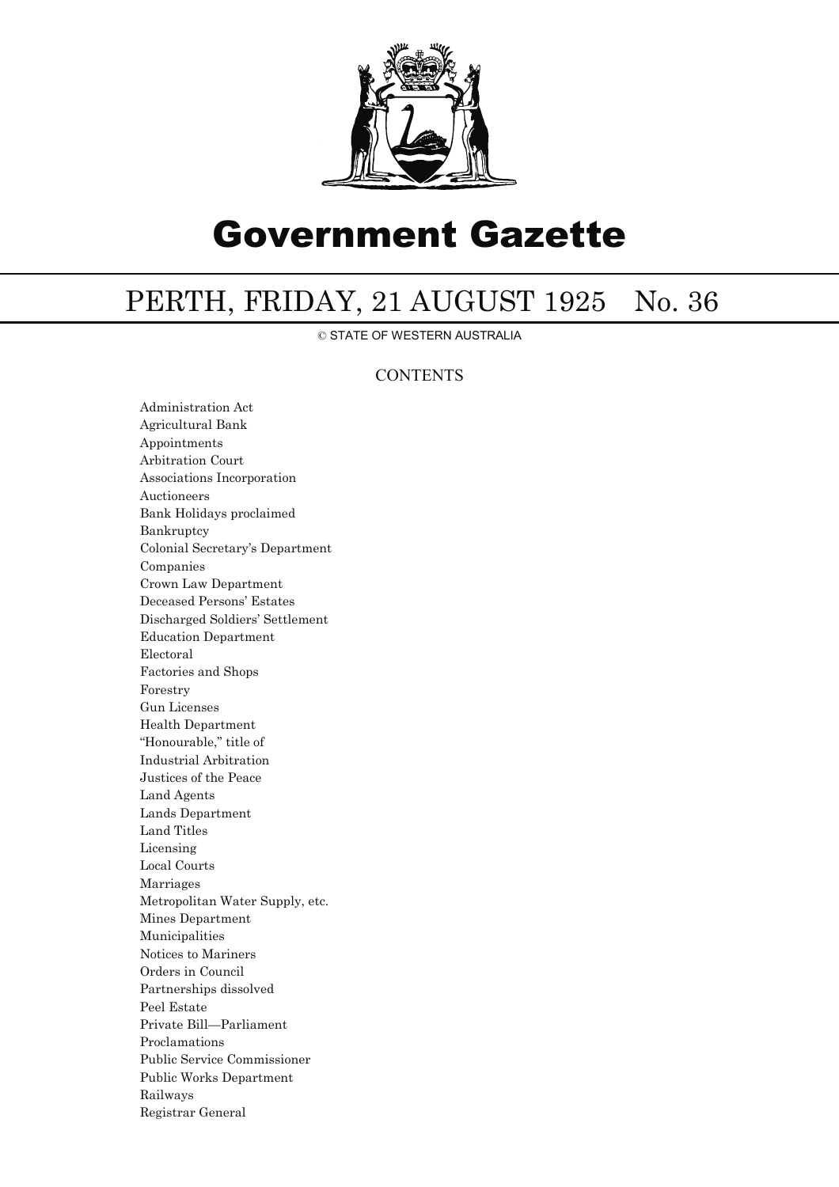

## Government Gazette

## PERTH, FRIDAY, 21 AUGUST 1925 No. 36

© STATE OF WESTERN AUSTRALIA

## **CONTENTS**

Administration Act Agricultural Bank Appointments Arbitration Court Associations Incorporation Auctioneers Bank Holidays proclaimed Bankruptcy Colonial Secretary's Department Companies Crown Law Department Deceased Persons' Estates Discharged Soldiers' Settlement Education Department Electoral Factories and Shops Forestry Gun Licenses Health Department "Honourable," title of Industrial Arbitration Justices of the Peace Land Agents Lands Department Land Titles Licensing Local Courts Marriages Metropolitan Water Supply, etc. Mines Department Municipalities Notices to Mariners Orders in Council Partnerships dissolved Peel Estate Private Bill—Parliament Proclamations Public Service Commissioner Public Works Department Railways Registrar General